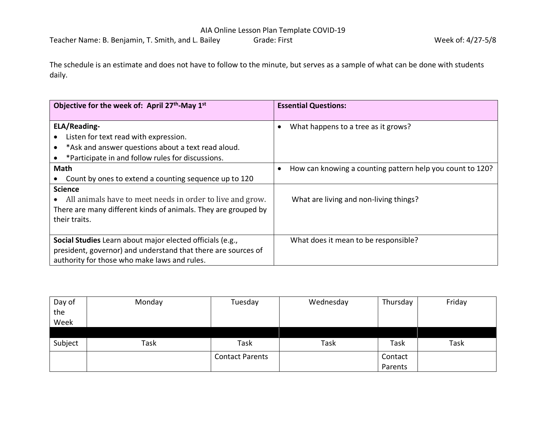The schedule is an estimate and does not have to follow to the minute, but serves as a sample of what can be done with students daily.

| Objective for the week of: April 27 <sup>th</sup> -May 1 <sup>st</sup> | <b>Essential Questions:</b>                                            |
|------------------------------------------------------------------------|------------------------------------------------------------------------|
| <b>ELA/Reading-</b>                                                    | What happens to a tree as it grows?                                    |
| Listen for text read with expression.                                  |                                                                        |
| *Ask and answer questions about a text read aloud.                     |                                                                        |
| *Participate in and follow rules for discussions.                      |                                                                        |
| Math                                                                   | How can knowing a counting pattern help you count to 120?<br>$\bullet$ |
| Count by ones to extend a counting sequence up to 120                  |                                                                        |
| <b>Science</b>                                                         |                                                                        |
| All animals have to meet needs in order to live and grow.              | What are living and non-living things?                                 |
| There are many different kinds of animals. They are grouped by         |                                                                        |
| their traits.                                                          |                                                                        |
|                                                                        |                                                                        |
| Social Studies Learn about major elected officials (e.g.,              | What does it mean to be responsible?                                   |
| president, governor) and understand that there are sources of          |                                                                        |
| authority for those who make laws and rules.                           |                                                                        |

| Day of  | Monday      | Tuesday                | Wednesday | Thursday | Friday |
|---------|-------------|------------------------|-----------|----------|--------|
| the     |             |                        |           |          |        |
| Week    |             |                        |           |          |        |
|         |             |                        |           |          |        |
| Subject | <b>Task</b> | Task                   | Task      | Task     | Task   |
|         |             | <b>Contact Parents</b> |           | Contact  |        |
|         |             |                        |           | Parents  |        |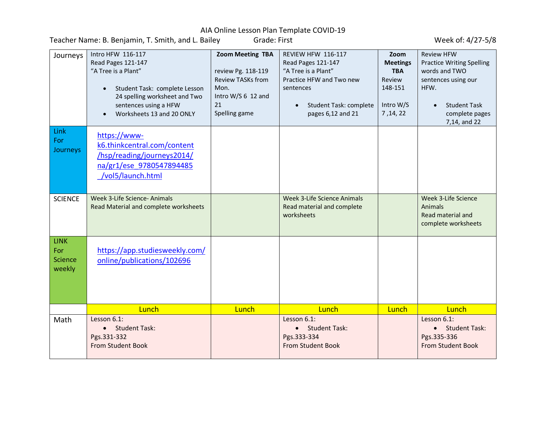Teacher Name: B. Benjamin, T. Smith, and L. Bailey Grade: First Grade: Fine Communication of the Week of: 4/27-5/8

| Journeys                                       | Intro HFW 116-117<br>Read Pages 121-147<br>"A Tree is a Plant"<br>Student Task: complete Lesson<br>$\bullet$<br>24 spelling worksheet and Two<br>sentences using a HFW<br>Worksheets 13 and 20 ONLY | <b>Zoom Meeting TBA</b><br>review Pg. 118-119<br><b>Review TASKs from</b><br>Mon.<br>Intro W/S 6 12 and<br>21<br>Spelling game | REVIEW HFW 116-117<br>Read Pages 121-147<br>"A Tree is a Plant"<br>Practice HFW and Two new<br>sentences<br>Student Task: complete<br>$\bullet$<br>pages 6,12 and 21 | Zoom<br><b>Meetings</b><br><b>TBA</b><br>Review<br>148-151<br>Intro W/S<br>7, 14, 22 | <b>Review HFW</b><br><b>Practice Writing Spelling</b><br>words and TWO<br>sentences using our<br>HFW.<br><b>Student Task</b><br>$\bullet$<br>complete pages<br>7,14, and 22 |
|------------------------------------------------|-----------------------------------------------------------------------------------------------------------------------------------------------------------------------------------------------------|--------------------------------------------------------------------------------------------------------------------------------|----------------------------------------------------------------------------------------------------------------------------------------------------------------------|--------------------------------------------------------------------------------------|-----------------------------------------------------------------------------------------------------------------------------------------------------------------------------|
| Link<br>For<br>Journeys                        | https://www-<br>k6.thinkcentral.com/content<br>/hsp/reading/journeys2014/<br>na/gr1/ese 9780547894485<br>/vol5/launch.html                                                                          |                                                                                                                                |                                                                                                                                                                      |                                                                                      |                                                                                                                                                                             |
| <b>SCIENCE</b>                                 | Week 3-Life Science- Animals<br>Read Material and complete worksheets                                                                                                                               |                                                                                                                                | <b>Week 3-Life Science Animals</b><br>Read material and complete<br>worksheets                                                                                       |                                                                                      | Week 3-Life Science<br>Animals<br>Read material and<br>complete worksheets                                                                                                  |
| <b>LINK</b><br>For<br><b>Science</b><br>weekly | https://app.studiesweekly.com/<br>online/publications/102696                                                                                                                                        |                                                                                                                                |                                                                                                                                                                      |                                                                                      |                                                                                                                                                                             |
|                                                | Lunch                                                                                                                                                                                               | Lunch                                                                                                                          | Lunch                                                                                                                                                                | Lunch                                                                                | Lunch                                                                                                                                                                       |
| Math                                           | Lesson 6.1:<br>• Student Task:<br>Pgs.331-332<br><b>From Student Book</b>                                                                                                                           |                                                                                                                                | Lesson 6.1:<br>• Student Task:<br>Pgs.333-334<br><b>From Student Book</b>                                                                                            |                                                                                      | Lesson 6.1:<br><b>Student Task:</b><br>$\bullet$<br>Pgs.335-336<br><b>From Student Book</b>                                                                                 |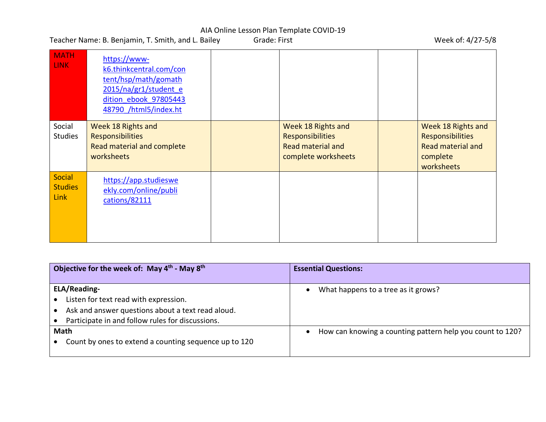Teacher Name: B. Benjamin, T. Smith, and L. Bailey Grade: First Grade: Fine Communication of the Week of: 4/27-5/8

| <b>MATH</b><br><b>LINK</b>                     | https://www-<br>k6.thinkcentral.com/con<br>tent/hsp/math/gomath<br>2015/na/gr1/student e<br>dition ebook 97805443<br>48790 /html5/index.ht |                                                                                                  |                                                                                                     |
|------------------------------------------------|--------------------------------------------------------------------------------------------------------------------------------------------|--------------------------------------------------------------------------------------------------|-----------------------------------------------------------------------------------------------------|
| Social<br><b>Studies</b>                       | Week 18 Rights and<br><b>Responsibilities</b><br>Read material and complete<br>worksheets                                                  | Week 18 Rights and<br><b>Responsibilities</b><br><b>Read material and</b><br>complete worksheets | Week 18 Rights and<br><b>Responsibilities</b><br><b>Read material and</b><br>complete<br>worksheets |
| <b>Social</b><br><b>Studies</b><br><b>Link</b> | https://app.studieswe<br>ekly.com/online/publi<br>cations/82111                                                                            |                                                                                                  |                                                                                                     |

| Objective for the week of: May $4^{\text{th}}$ - May $8^{\text{th}}$ | <b>Essential Questions:</b>                                            |
|----------------------------------------------------------------------|------------------------------------------------------------------------|
|                                                                      |                                                                        |
| <b>ELA/Reading-</b>                                                  | What happens to a tree as it grows?                                    |
| Listen for text read with expression.                                |                                                                        |
| Ask and answer questions about a text read aloud.                    |                                                                        |
| Participate in and follow rules for discussions.                     |                                                                        |
| <b>Math</b>                                                          | How can knowing a counting pattern help you count to 120?<br>$\bullet$ |
| Count by ones to extend a counting sequence up to 120                |                                                                        |
|                                                                      |                                                                        |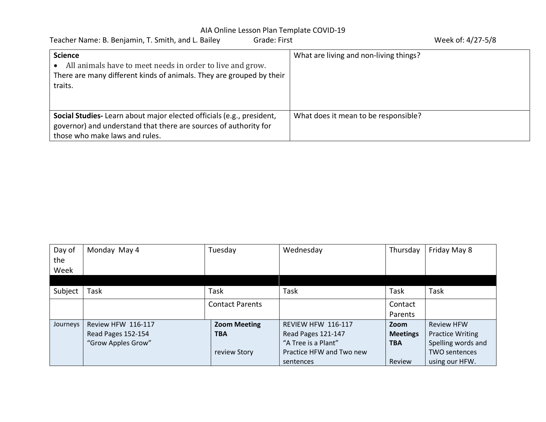| Teacher Name: B. Benjamin, T. Smith, and L. Bailey<br>Grade: First                                                                                                         | Week of: 4/27-5/8                      |
|----------------------------------------------------------------------------------------------------------------------------------------------------------------------------|----------------------------------------|
| <b>Science</b><br>All animals have to meet needs in order to live and grow.<br>There are many different kinds of animals. They are grouped by their<br>traits.             | What are living and non-living things? |
| Social Studies-Learn about major elected officials (e.g., president,<br>governor) and understand that there are sources of authority for<br>those who make laws and rules. | What does it mean to be responsible?   |

| Day of   | Monday May 4       | Tuesday                | Wednesday                | Thursday        | Friday May 8            |
|----------|--------------------|------------------------|--------------------------|-----------------|-------------------------|
| the      |                    |                        |                          |                 |                         |
| Week     |                    |                        |                          |                 |                         |
|          |                    |                        |                          |                 |                         |
| Subject  | Task               | Task                   | Task                     | Task            | Task                    |
|          |                    | <b>Contact Parents</b> |                          | Contact         |                         |
|          |                    |                        |                          | Parents         |                         |
| Journeys | Review HFW 116-117 | <b>Zoom Meeting</b>    | REVIEW HFW 116-117       | Zoom            | <b>Review HFW</b>       |
|          | Read Pages 152-154 | <b>TBA</b>             | Read Pages 121-147       | <b>Meetings</b> | <b>Practice Writing</b> |
|          | "Grow Apples Grow" |                        | "A Tree is a Plant"      | <b>TBA</b>      | Spelling words and      |
|          |                    | review Story           | Practice HFW and Two new |                 | <b>TWO sentences</b>    |
|          |                    |                        | sentences                | Review          | using our HFW.          |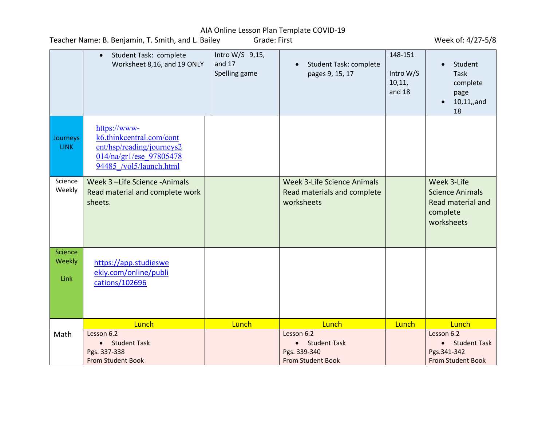Teacher Name: B. Benjamin, T. Smith, and L. Bailey Grade: First Grade: Fine Communication of the Week of: 4/27-5/8

|                           | Student Task: complete<br>$\bullet$<br>Worksheet 8,16, and 19 ONLY                                                          | Intro W/S 9,15,<br>and $17$<br>Spelling game | <b>Student Task: complete</b><br>$\bullet$<br>pages 9, 15, 17                   | 148-151<br>Intro W/S<br>10, 11,<br>and 18 | Student<br><b>Task</b><br>complete<br>page<br>$10, 11,$ , and<br>18                       |
|---------------------------|-----------------------------------------------------------------------------------------------------------------------------|----------------------------------------------|---------------------------------------------------------------------------------|-------------------------------------------|-------------------------------------------------------------------------------------------|
| Journeys<br><b>LINK</b>   | https://www-<br>k6.thinkcentral.com/cont<br>ent/hsp/reading/journeys2<br>014/na/gr1/ese 97805478<br>94485 /vol5/launch.html |                                              |                                                                                 |                                           |                                                                                           |
| Science<br>Weekly         | Week 3 -Life Science -Animals<br>Read material and complete work<br>sheets.                                                 |                                              | <b>Week 3-Life Science Animals</b><br>Read materials and complete<br>worksheets |                                           | Week 3-Life<br><b>Science Animals</b><br>Read material and<br>complete<br>worksheets      |
| Science<br>Weekly<br>Link | https://app.studieswe<br>ekly.com/online/publi<br>cations/102696                                                            |                                              |                                                                                 |                                           |                                                                                           |
|                           | Lunch                                                                                                                       | Lunch                                        | Lunch                                                                           | Lunch                                     | Lunch                                                                                     |
| Math                      | Lesson 6.2<br><b>Student Task</b><br>$\bullet$<br>Pgs. 337-338<br><b>From Student Book</b>                                  |                                              | Lesson 6.2<br>• Student Task<br>Pgs. 339-340<br><b>From Student Book</b>        |                                           | Lesson 6.2<br><b>Student Task</b><br>$\bullet$<br>Pgs.341-342<br><b>From Student Book</b> |